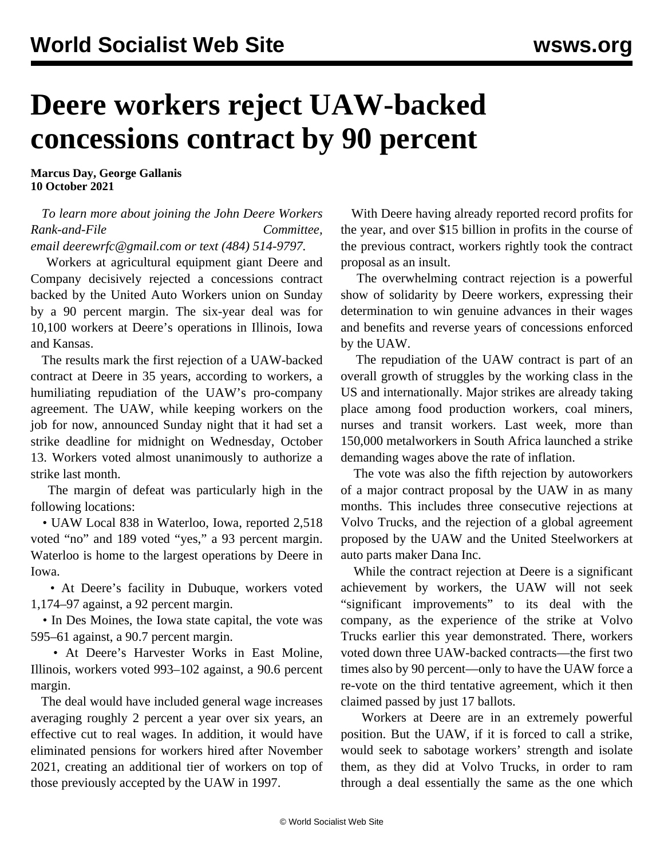## **Deere workers reject UAW-backed concessions contract by 90 percent**

**Marcus Day, George Gallanis 10 October 2021**

## *To learn more about joining the John Deere Workers Rank-and-File Committee, email [deerewrfc@gmail.com](mailto:deerewrfc@gmail.com) or text (484) 514-9797.*

 Workers at agricultural equipment giant Deere and Company decisively rejected a concessions contract backed by the United Auto Workers union on Sunday by a 90 percent margin. The six-year deal was for 10,100 workers at Deere's operations in Illinois, Iowa and Kansas.

 The results mark the first rejection of a UAW-backed contract at Deere in 35 years, according to workers, a humiliating repudiation of the UAW's pro-company agreement. The UAW, while keeping workers on the job for now, announced Sunday night that it had set a strike deadline for midnight on Wednesday, October 13. Workers voted almost unanimously to authorize a strike last month.

 The margin of defeat was particularly high in the following locations:

 • UAW Local 838 in Waterloo, Iowa, reported 2,518 voted "no" and 189 voted "yes," a 93 percent margin. Waterloo is home to the largest operations by Deere in Iowa.

 • At Deere's facility in Dubuque, workers voted 1,174–97 against, a 92 percent margin.

 • In Des Moines, the Iowa state capital, the vote was 595–61 against, a 90.7 percent margin.

 • At Deere's Harvester Works in East Moline, Illinois, workers voted 993–102 against, a 90.6 percent margin.

 The deal would have included general wage increases averaging roughly 2 percent a year over six years, an effective cut to real wages. In addition, it would have eliminated pensions for workers hired after November 2021, creating an additional tier of workers on top of those previously accepted by the UAW in 1997.

 With Deere having already reported record profits for the year, and over \$15 billion in profits in the course of the previous contract, workers rightly took the contract proposal as an insult.

 The overwhelming contract rejection is a powerful show of solidarity by Deere workers, expressing their determination to win genuine advances in their wages and benefits and reverse years of concessions enforced by the UAW.

 The repudiation of the UAW contract is part of an overall growth of struggles by the working class in the US and internationally. Major strikes are already taking place among food production workers, coal miners, nurses and transit workers. Last week, more than 150,000 metalworkers in South Africa launched a strike demanding wages above the rate of inflation.

 The vote was also the fifth rejection by autoworkers of a major contract proposal by the UAW in as many months. This includes three consecutive rejections at Volvo Trucks, and the rejection of a global agreement proposed by the UAW and the United Steelworkers at auto parts maker Dana Inc.

 While the contract rejection at Deere is a significant achievement by workers, the UAW will not seek "significant improvements" to its deal with the company, as the experience of the strike at [Volvo](/en/articles/2021/07/15/volv-j15.html) [Trucks](/en/articles/2021/07/15/volv-j15.html) earlier this year demonstrated. There, workers voted down three UAW-backed contracts—the first two times also by 90 percent—only to have the UAW force a re-vote on the third tentative agreement, which it then claimed passed by just 17 ballots.

 Workers at Deere are in an extremely powerful position. But the UAW, if it is forced to call a strike, would seek to sabotage workers' strength and isolate them, as they did at Volvo Trucks, in order to ram through a deal essentially the same as the one which